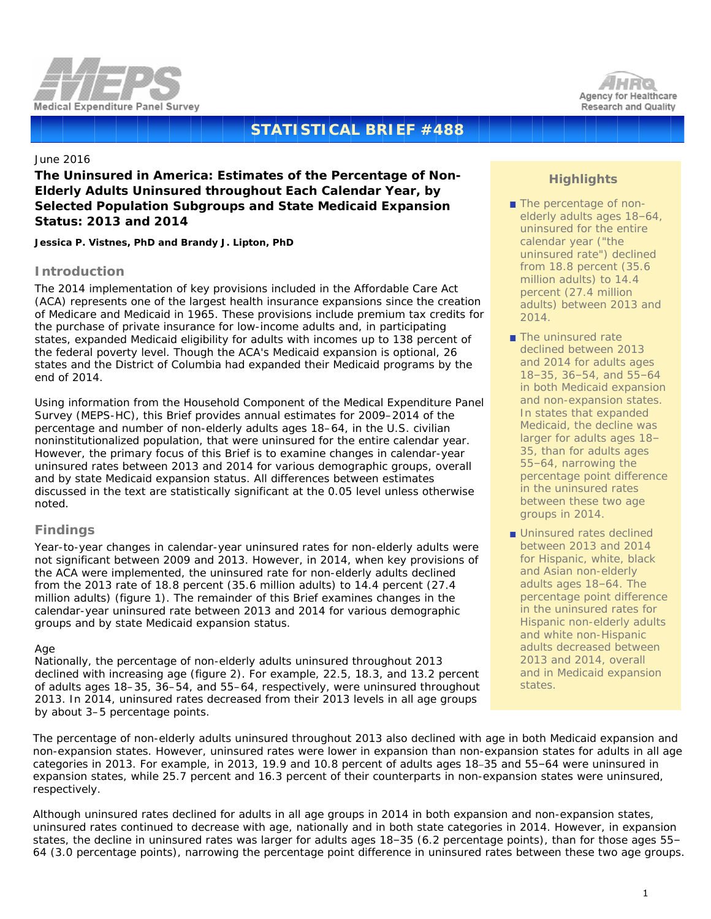



# **STATISTICAL BRIEF #488**

## June 2016

# **The Uninsured in America: Estimates of the Percentage of Non-Elderly Adults Uninsured throughout Each Calendar Year, by Selected Population Subgroups and State Medicaid Expansion Status: 2013 and 2014**

*Jessica P. Vistnes, PhD and Brandy J. Lipton, PhD*

### **Introduction**

The 2014 implementation of key provisions included in the Affordable Care Act (ACA) represents one of the largest health insurance expansions since the creation of Medicare and Medicaid in 1965. These provisions include premium tax credits for the purchase of private insurance for low-income adults and, in participating states, expanded Medicaid eligibility for adults with incomes up to 138 percent of the federal poverty level. Though the ACA's Medicaid expansion is optional, 26 states and the District of Columbia had expanded their Medicaid programs by the end of 2014.

Using information from the Household Component of the Medical Expenditure Panel Survey (MEPS-HC), this Brief provides annual estimates for 2009–2014 of the percentage and number of non-elderly adults ages 18–64, in the U.S. civilian noninstitutionalized population, that were uninsured for the entire calendar year. However, the primary focus of this Brief is to examine changes in calendar-year uninsured rates between 2013 and 2014 for various demographic groups, overall and by state Medicaid expansion status. All differences between estimates discussed in the text are statistically significant at the 0.05 level unless otherwise noted.

### **Findings**

Year-to-year changes in calendar-year uninsured rates for non-elderly adults were not significant between 2009 and 2013. However, in 2014, when key provisions of the ACA were implemented, the uninsured rate for non-elderly adults declined from the 2013 rate of 18.8 percent (35.6 million adults) to 14.4 percent (27.4 million adults) (figure 1). The remainder of this Brief examines changes in the calendar-year uninsured rate between 2013 and 2014 for various demographic groups and by state Medicaid expansion status.

#### *Age*

Nationally, the percentage of non-elderly adults uninsured throughout 2013 declined with increasing age (figure 2). For example, 22.5, 18.3, and 13.2 percent of adults ages 18–35, 36–54, and 55–64, respectively, were uninsured throughout 2013. In 2014, uninsured rates decreased from their 2013 levels in all age groups by about 3–5 percentage points.

# **Highlights**

- The percentage of nonelderly adults ages 18–64, uninsured for the entire calendar year ("the uninsured rate") declined from 18.8 percent (35.6 million adults) to 14.4 percent (27.4 million adults) between 2013 and 2014.
- The uninsured rate declined between 2013 and 2014 for adults ages 18–35, 36–54, and 55–64 in both Medicaid expansion and non-expansion states. In states that expanded Medicaid, the decline was larger for adults ages 18– 35, than for adults ages 55–64, narrowing the percentage point difference in the uninsured rates between these two age groups in 2014.
- **Uninsured rates declined** between 2013 and 2014 for Hispanic, white, black and Asian non-elderly adults ages 18–64. The percentage point difference in the uninsured rates for Hispanic non-elderly adults and white non-Hispanic adults decreased between 2013 and 2014, overall and in Medicaid expansion states.

The percentage of non-elderly adults uninsured throughout 2013 also declined with age in both Medicaid expansion and non-expansion states. However, uninsured rates were lower in expansion than non-expansion states for adults in all age categories in 2013. For example, in 2013, 19.9 and 10.8 percent of adults ages 18–35 and 55–64 were uninsured in expansion states, while 25.7 percent and 16.3 percent of their counterparts in non-expansion states were uninsured, respectively.

Although uninsured rates declined for adults in all age groups in 2014 in both expansion and non-expansion states, uninsured rates continued to decrease with age, nationally and in both state categories in 2014. However, in expansion states, the decline in uninsured rates was larger for adults ages 18–35 (6.2 percentage points), than for those ages 55– 64 (3.0 percentage points), narrowing the percentage point difference in uninsured rates between these two age groups.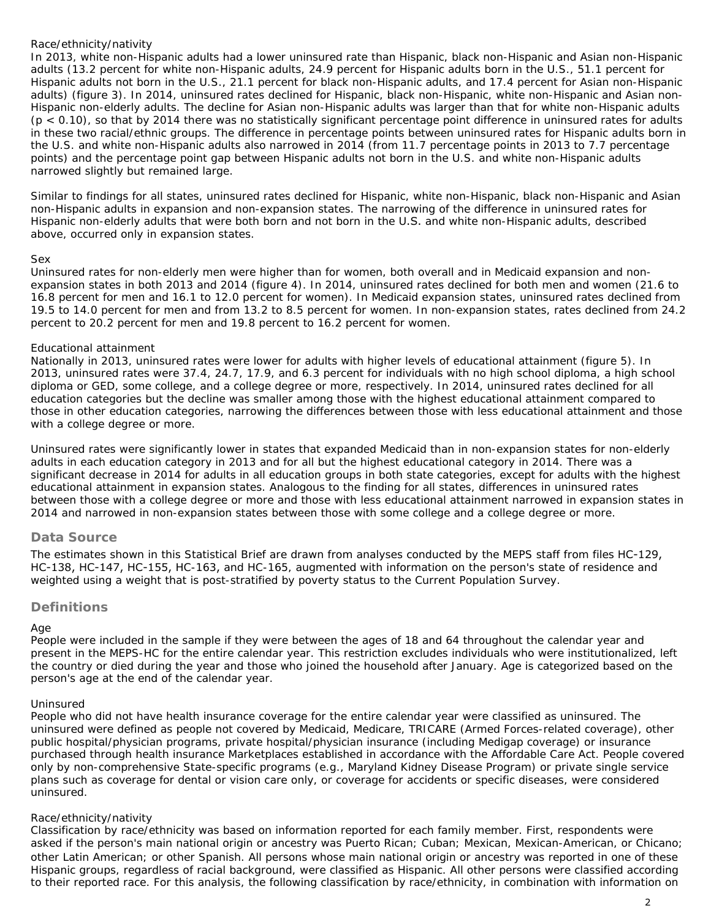### *Race/ethnicity/nativity*

In 2013, white non-Hispanic adults had a lower uninsured rate than Hispanic, black non-Hispanic and Asian non-Hispanic adults (13.2 percent for white non-Hispanic adults, 24.9 percent for Hispanic adults born in the U.S., 51.1 percent for Hispanic adults not born in the U.S., 21.1 percent for black non-Hispanic adults, and 17.4 percent for Asian non-Hispanic adults) (figure 3). In 2014, uninsured rates declined for Hispanic, black non-Hispanic, white non-Hispanic and Asian non-Hispanic non-elderly adults. The decline for Asian non-Hispanic adults was larger than that for white non-Hispanic adults (p < 0.10), so that by 2014 there was no statistically significant percentage point difference in uninsured rates for adults in these two racial/ethnic groups. The difference in percentage points between uninsured rates for Hispanic adults born in the U.S. and white non-Hispanic adults also narrowed in 2014 (from 11.7 percentage points in 2013 to 7.7 percentage points) and the percentage point gap between Hispanic adults not born in the U.S. and white non-Hispanic adults narrowed slightly but remained large.

Similar to findings for all states, uninsured rates declined for Hispanic, white non-Hispanic, black non-Hispanic and Asian non-Hispanic adults in expansion and non-expansion states. The narrowing of the difference in uninsured rates for Hispanic non-elderly adults that were both born and not born in the U.S. and white non-Hispanic adults, described above, occurred only in expansion states.

#### *Sex*

Uninsured rates for non-elderly men were higher than for women, both overall and in Medicaid expansion and nonexpansion states in both 2013 and 2014 (figure 4). In 2014, uninsured rates declined for both men and women (21.6 to 16.8 percent for men and 16.1 to 12.0 percent for women). In Medicaid expansion states, uninsured rates declined from 19.5 to 14.0 percent for men and from 13.2 to 8.5 percent for women. In non-expansion states, rates declined from 24.2 percent to 20.2 percent for men and 19.8 percent to 16.2 percent for women.

#### *Educational attainment*

Nationally in 2013, uninsured rates were lower for adults with higher levels of educational attainment (figure 5). In 2013, uninsured rates were 37.4, 24.7, 17.9, and 6.3 percent for individuals with no high school diploma, a high school diploma or GED, some college, and a college degree or more, respectively. In 2014, uninsured rates declined for all education categories but the decline was smaller among those with the highest educational attainment compared to those in other education categories, narrowing the differences between those with less educational attainment and those with a college degree or more.

Uninsured rates were significantly lower in states that expanded Medicaid than in non-expansion states for non-elderly adults in each education category in 2013 and for all but the highest educational category in 2014. There was a significant decrease in 2014 for adults in all education groups in both state categories, except for adults with the highest educational attainment in expansion states. Analogous to the finding for all states, differences in uninsured rates between those with a college degree or more and those with less educational attainment narrowed in expansion states in 2014 and narrowed in non-expansion states between those with some college and a college degree or more.

### **Data Source**

The estimates shown in this Statistical Brief are drawn from analyses conducted by the MEPS staff from files HC-129, HC-138, HC-147, HC-155, HC-163, and HC-165, augmented with information on the person's state of residence and weighted using a weight that is post-stratified by poverty status to the Current Population Survey.

### **Definitions**

#### *Age*

People were included in the sample if they were between the ages of 18 and 64 throughout the calendar year and present in the MEPS-HC for the entire calendar year. This restriction excludes individuals who were institutionalized, left the country or died during the year and those who joined the household after January. Age is categorized based on the person's age at the end of the calendar year.

#### *Uninsured*

People who did not have health insurance coverage for the entire calendar year were classified as uninsured. The uninsured were defined as people not covered by Medicaid, Medicare, TRICARE (Armed Forces-related coverage), other public hospital/physician programs, private hospital/physician insurance (including Medigap coverage) or insurance purchased through health insurance Marketplaces established in accordance with the Affordable Care Act. People covered only by non-comprehensive State-specific programs (e.g., Maryland Kidney Disease Program) or private single service plans such as coverage for dental or vision care only, or coverage for accidents or specific diseases, were considered uninsured.

### *Race/ethnicity/nativity*

Classification by race/ethnicity was based on information reported for each family member. First, respondents were asked if the person's main national origin or ancestry was Puerto Rican; Cuban; Mexican, Mexican-American, or Chicano; other Latin American; or other Spanish. All persons whose main national origin or ancestry was reported in one of these Hispanic groups, regardless of racial background, were classified as Hispanic. All other persons were classified according to their reported race. For this analysis, the following classification by race/ethnicity, in combination with information on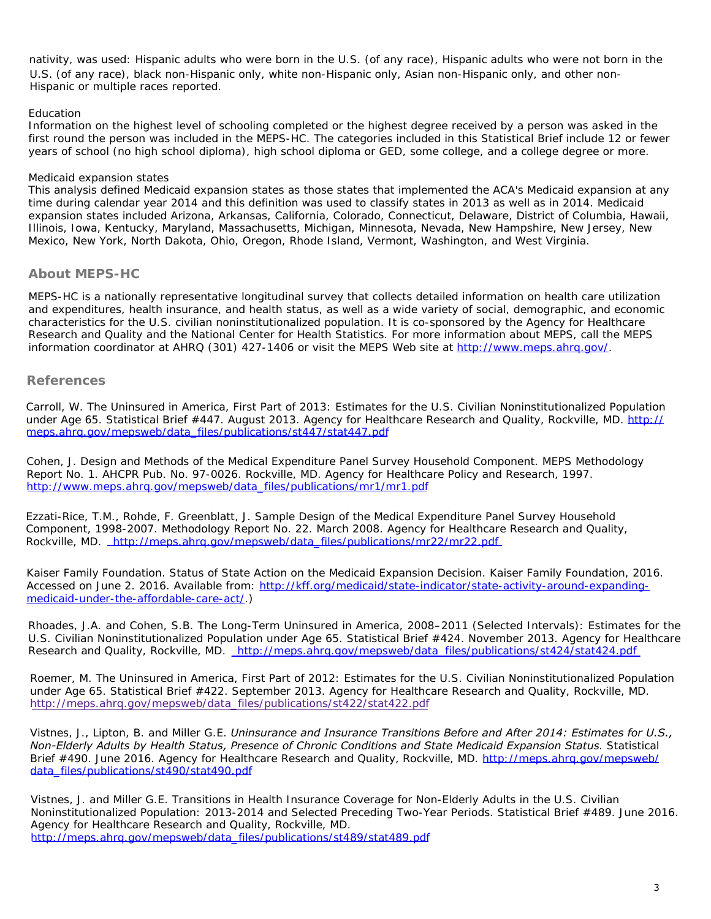U.S. (of any race), black non-Hispanic only, white non-Hispanic only, Asian non-Hispanic only, and other non-Hispanic or multiple races reported. nativity, was used: Hispanic adults who were born in the U.S. (of any race), Hispanic adults who were not born in the

#### *Education*

Information on the highest level of schooling completed or the highest degree received by a person was asked in the first round the person was included in the MEPS-HC. The categories included in this Statistical Brief include 12 or fewer years of school (no high school diploma), high school diploma or GED, some college, and a college degree or more.

### *Medicaid expansion states*

This analysis defined Medicaid expansion states as those states that implemented the ACA's Medicaid expansion at any time during calendar year 2014 and this definition was used to classify states in 2013 as well as in 2014. Medicaid expansion states included Arizona, Arkansas, California, Colorado, Connecticut, Delaware, District of Columbia, Hawaii, Illinois, Iowa, Kentucky, Maryland, Massachusetts, Michigan, Minnesota, Nevada, New Hampshire, New Jersey, New Mexico, New York, North Dakota, Ohio, Oregon, Rhode Island, Vermont, Washington, and West Virginia.

### **About MEPS-HC**

MEPS-HC is a nationally representative longitudinal survey that collects detailed information on health care utilization and expenditures, health insurance, and health status, as well as a wide variety of social, demographic, and economic characteristics for the U.S. civilian noninstitutionalized population. It is co-sponsored by the Agency for Healthcare Research and Quality and the National Center for Health Statistics. For more information about MEPS, call the MEPS information coordinator at AHRQ (301) 427-1406 or visit the MEPS Web site at [http://www.meps.ahrq.gov/.](http://www.meps.ahrq.gov/)

### **References**

Carroll, W. *The Uninsured in America, First Part of 2013: Estimates for the U.S. Civilian Noninstitutionalized Population under Age 65*. Statistical Brief #447. August 2013. Agency for Healthcare Research and Quality, Rockville, MD. [http://](http://meps.ahrq.gov/mepsweb/data_files/publications/st447/stat447.pdf) [meps.ahrq.gov/mepsweb/data\\_files/publications/st447/stat447.](http://meps.ahrq.gov/mepsweb/data_files/publications/st447/stat447.pdf)pdf

Cohen, J. *Design and Methods of the Medical Expenditure Panel Survey Household Component. MEPS Methodology Report No. 1*. AHCPR Pub. No. 97-0026. Rockville, MD. Agency for Healthcare Policy and Research, 1997. [http://www.meps.ahrq.gov/mepsweb/data\\_files/publications/mr1/mr1.pdf](http://www.meps.ahrq.gov/mepsweb/data_files/publications/mr1/mr1.pdf)

Ezzati-Rice, T.M., Rohde, F. *Greenblatt, J. Sample Design of the Medical Expenditure Panel Survey Household Component, 1998-2007*. Methodology Report No. 22. March 2008. Agency for Healthcare Research and Quality, Rockville, MD. [http://meps.ahrq.gov/mepsweb/data\\_files/publications/mr22/mr22.](http://meps.ahrq.gov/mepsweb/data_files/publications/mr22/mr22.pdf)pdf

Kaiser Family Foundation. *Status of State Action on the Medicaid Expansion Decision. Kaiser Family Foundation, 2016*. Accessed on June 2. 2016. Available from: [http://kff.org/medicaid/state-indicator/state-activity-around-expanding](http://kff.org/medicaid/state-indicator/state-activity-around-expanding-medicaid-under-the-affordable-care-act/)[medicaid-under-the-affordable-care-act/.](http://kff.org/medicaid/state-indicator/state-activity-around-expanding-medicaid-under-the-affordable-care-act/))

Rhoades, J.A. and Cohen, S.B. *The Long-Term Uninsured in America, 2008–2011 (Selected Intervals): Estimates for the U.S. Civilian Noninstitutionalized Population under Age 65*. Statistical Brief #424. November 2013. Agency for Healthcare Research and Quality, Rockville, MD. [http://meps.ahrq.gov/mepsweb/data\\_files/publications/st424/stat424.](http://meps.ahrq.gov/mepsweb/data_files/publications/st424/stat424.pdf)pdf

Roemer, M. *The Uninsured in America, First Part of 2012: Estimates for the U.S. Civilian Noninstitutionalized Population under Age 65*. Statistical Brief #422. September 2013. Agency for Healthcare Research and Quality, Rockville, MD. [http://meps.ahrq.gov/mepsweb/data\\_files/publications/st422/stat422.](http://meps.ahrq.gov/mepsweb/data_files/publications/st422/stat422.pdf)pdf

Vistnes, J., Lipton, B. and Miller G.E. *Uninsurance and Insurance Transitions Before and After 2014: Estimates for U.S., Non-Elderly Adults by Health Status, Presence of Chronic Conditions and State Medicaid Expansion Status*. Statistical Brief #490. June 2016. Agency for Healthcare Research and Quality, Rockville, MD. [http://meps.ahrq.gov/mepsweb/](http://meps.ahrq.gov/mepsweb/data_files/publications/st490/stat490.pdf) [data\\_files/publications/st490/stat490.](http://meps.ahrq.gov/mepsweb/data_files/publications/st490/stat490.pdf)pdf

Vistnes, J. and Miller G.E. *Transitions in Health Insurance Coverage for Non-Elderly Adults in the U.S. Civilian Noninstitutionalized Population: 2013-2014 and Selected Preceding Two-Year Periods*. Statistical Brief #489. June 2016. Agency for Healthcare Research and Quality, Rockville, MD. [http://meps.ahrq.gov/mepsweb/data\\_files/publications/st489/stat489.](http://meps.ahrq.gov/mepsweb/data_files/publications/st489/stat489.pdf)pdf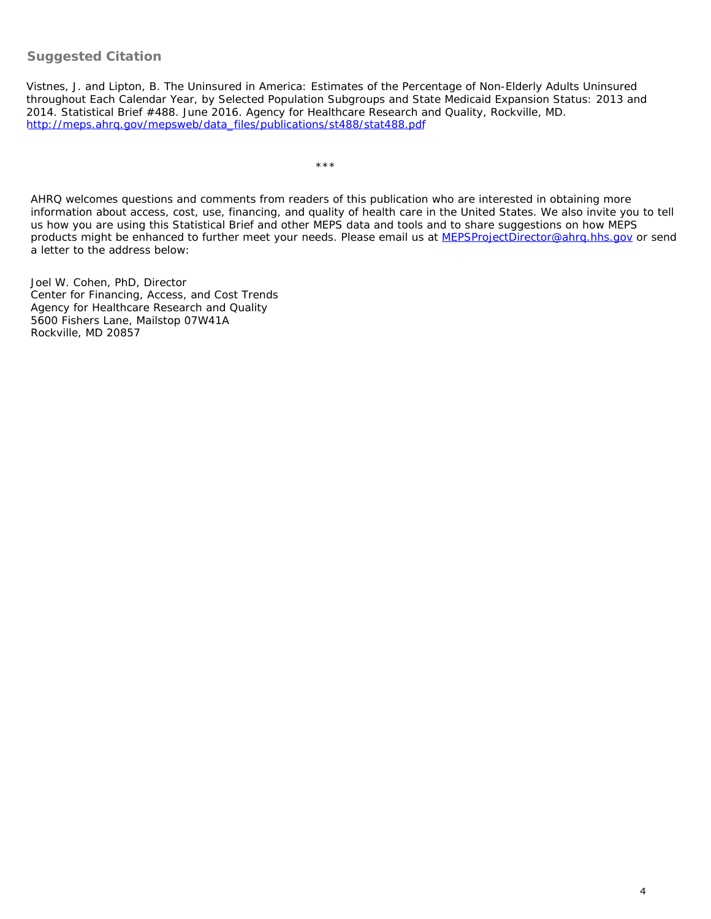# **Suggested Citation**

Vistnes, J. and Lipton, B. *The Uninsured in America: Estimates of the Percentage of Non-Elderly Adults Uninsured throughout Each Calendar Year, by Selected Population Subgroups and State Medicaid Expansion Status: 2013 and 2014*. Statistical Brief #488. June 2016. Agency for Healthcare Research and Quality, Rockville, MD. [http://meps.ahrq.gov/mepsweb/data\\_files/publications/st488/stat488.](http://meps.ahrq.gov/mepsweb/data_files/publications/st488/stat488.pdf)pdf

\*\*\*

AHRQ welcomes questions and comments from readers of this publication who are interested in obtaining more information about access, cost, use, financing, and quality of health care in the United States. We also invite you to tell us how you are using this Statistical Brief and other MEPS data and tools and to share suggestions on how MEPS products might be enhanced to further meet your needs. Please email us at [MEPSProjectDirector@ahrq.hhs.gov](mailto:MEPSProjectDirector@ahrq.hhs.gov) or send a letter to the address below:

Joel W. Cohen, PhD, Director Center for Financing, Access, and Cost Trends Agency for Healthcare Research and Quality 5600 Fishers Lane, Mailstop 07W41A Rockville, MD 20857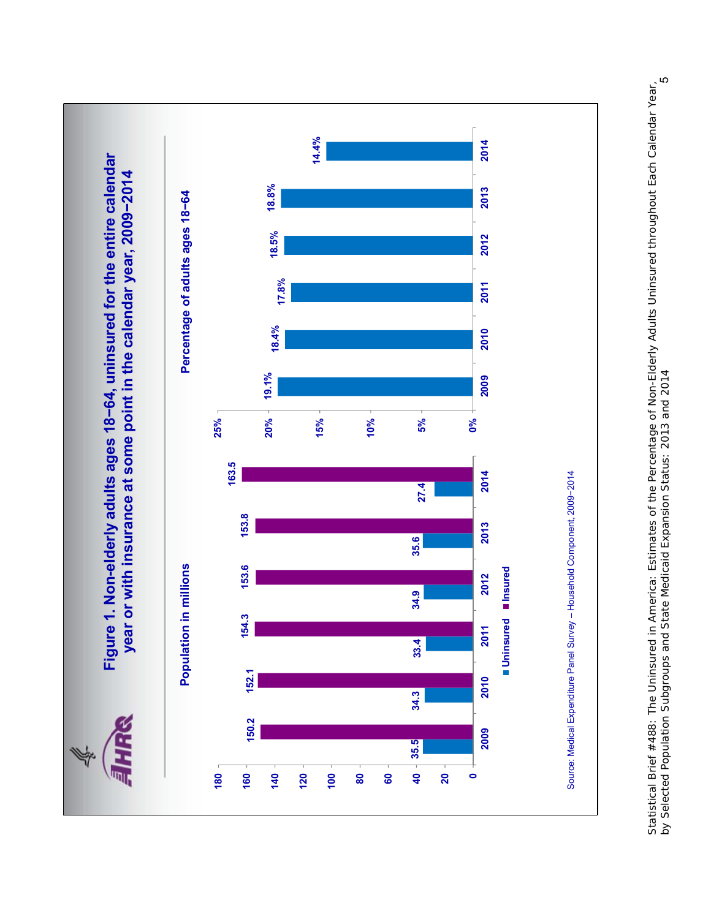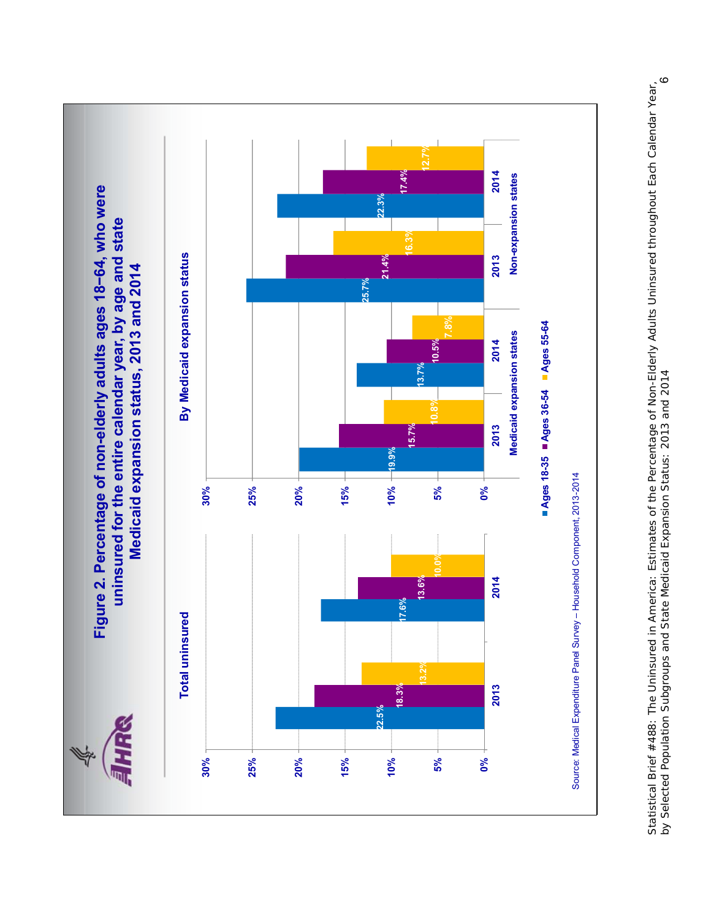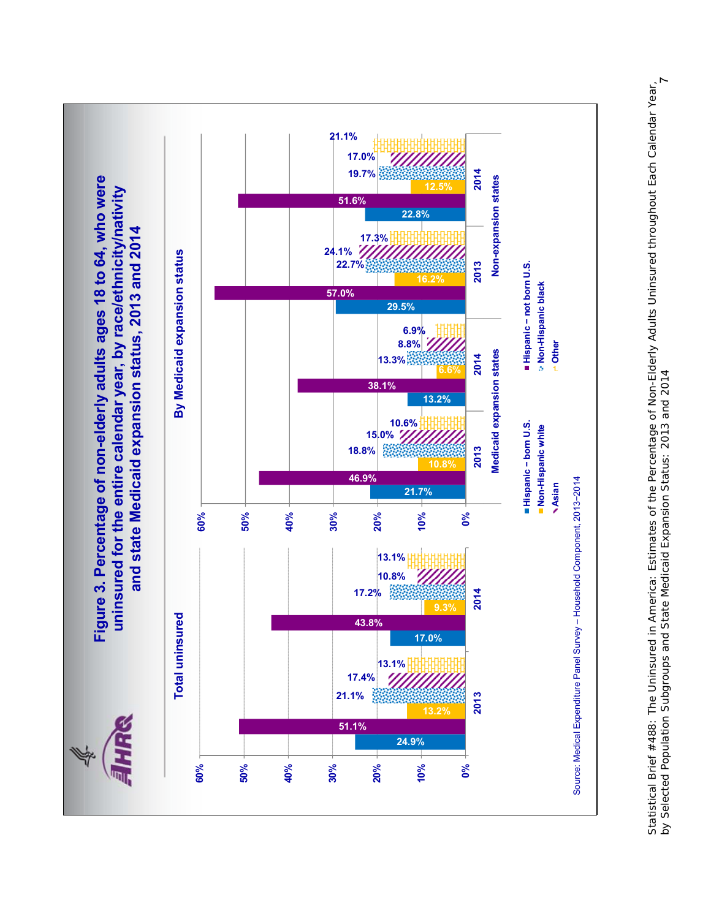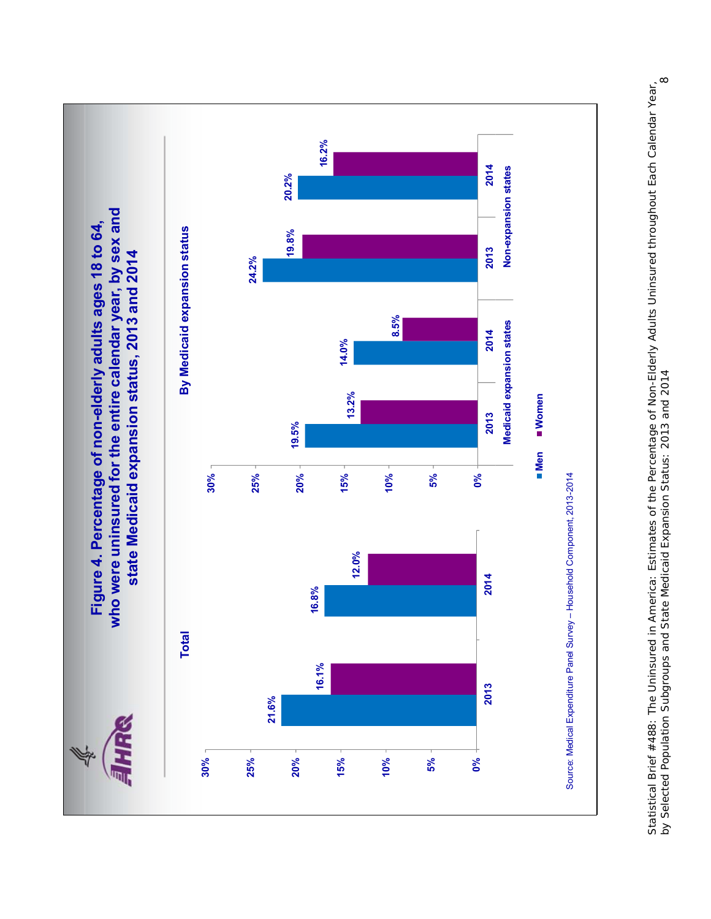